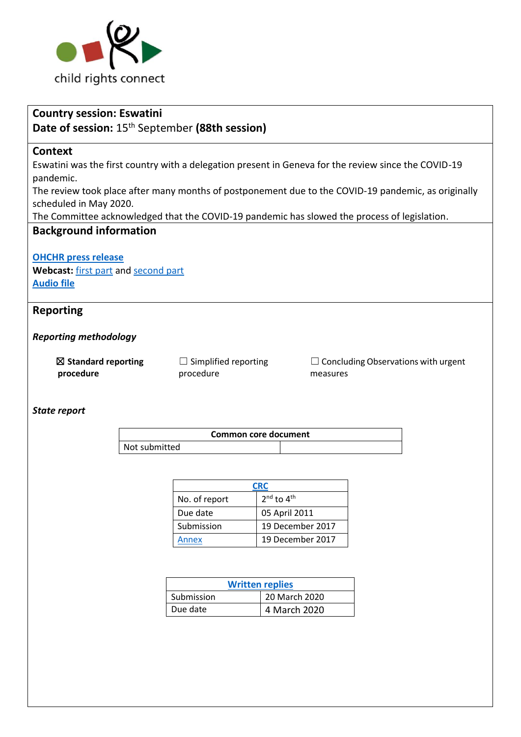

# **Country session: Eswatini Date of session:** 15th September **(88th session) Context** Eswatini was the first country with a delegation present in Geneva for the review since the COVID-19 pandemic. The review took place after many months of postponement due to the COVID-19 pandemic, as originally scheduled in May 2020. The Committee acknowledged that the COVID-19 pandemic has slowed the process of legislation. **Background information [OHCHR press release](https://www.ohchr.org/EN/NewsEvents/Pages/DisplayNews.aspx?NewsID=27475&LangID=E) Webcast:** [first part](https://media.un.org/en/asset/k1m/k1mmr2y73d) an[d second part](https://media.un.org/en/asset/k1q/k1q5emytpi) **[Audio file](https://conf.unog.ch/digitalrecordings/) Reporting**  *Reporting methodology* ☒ **Standard reporting procedure**  $\Box$  Simplified reporting procedure  $\Box$  Concluding Observations with urgent measures *State report* **Common core document**  Not submitted **[CRC](https://tbinternet.ohchr.org/_layouts/15/treatybodyexternal/Download.aspx?symbolno=CRC%2fC%2fSWZ%2f2-4&Lang=en)** No. of report nd to 4th Due date **05 April 2011** Submission 19 December 2017 [Annex](https://tbinternet.ohchr.org/_layouts/15/treatybodyexternal/Download.aspx?symbolno=INT%2fCRC%2fADR%2fSWZ%2f33027&Lang=en) 19 December 2017

| <b>Written replies</b> |               |  |
|------------------------|---------------|--|
| Submission             | 20 March 2020 |  |
| Due date               | 4 March 2020  |  |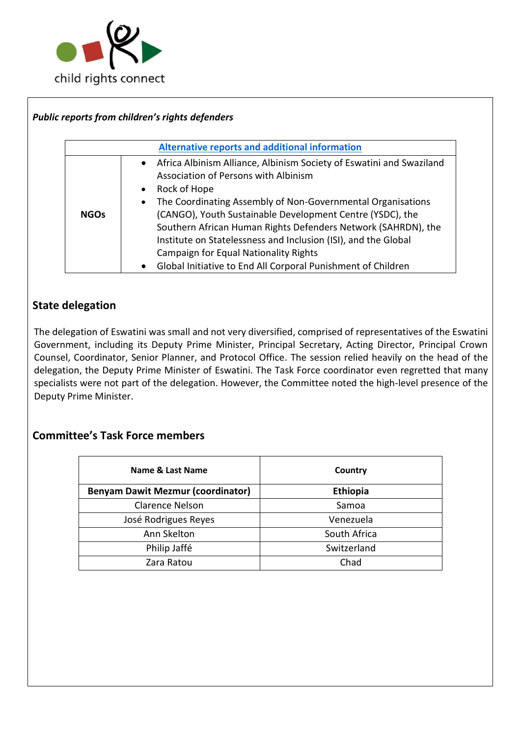

# *Public reports from children's rights defenders*

| <b>Alternative reports and additional information</b> |                                                                                                                                                                                                                                                                                                                                                                                                                                                                                                                                           |  |
|-------------------------------------------------------|-------------------------------------------------------------------------------------------------------------------------------------------------------------------------------------------------------------------------------------------------------------------------------------------------------------------------------------------------------------------------------------------------------------------------------------------------------------------------------------------------------------------------------------------|--|
| <b>NGOs</b>                                           | • Africa Albinism Alliance, Albinism Society of Eswatini and Swaziland<br>Association of Persons with Albinism<br>• Rock of Hope<br>The Coordinating Assembly of Non-Governmental Organisations<br>$\bullet$<br>(CANGO), Youth Sustainable Development Centre (YSDC), the<br>Southern African Human Rights Defenders Network (SAHRDN), the<br>Institute on Statelessness and Inclusion (ISI), and the Global<br><b>Campaign for Equal Nationality Rights</b><br>Global Initiative to End All Corporal Punishment of Children<br>$\bullet$ |  |

# **State delegation**

The delegation of Eswatini was small and not very diversified, comprised of representatives of the Eswatini Government, including its Deputy Prime Minister, Principal Secretary, Acting Director, Principal Crown Counsel, Coordinator, Senior Planner, and Protocol Office. The session relied heavily on the head of the delegation, the Deputy Prime Minister of Eswatini. The Task Force coordinator even regretted that many specialists were not part of the delegation. However, the Committee noted the high-level presence of the Deputy Prime Minister.

# **Committee's Task Force members**

| Name & Last Name                         | Country         |
|------------------------------------------|-----------------|
| <b>Benyam Dawit Mezmur (coordinator)</b> | <b>Ethiopia</b> |
| <b>Clarence Nelson</b>                   | Samoa           |
| José Rodrigues Reyes                     | Venezuela       |
| Ann Skelton                              | South Africa    |
| Philip Jaffé                             | Switzerland     |
| Zara Ratou                               | Chad            |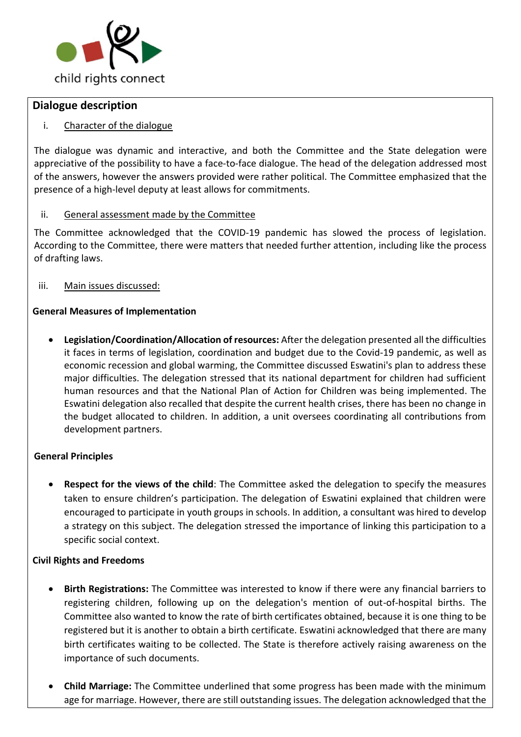

# **Dialogue description**

# i. Character of the dialogue

The dialogue was dynamic and interactive, and both the Committee and the State delegation were appreciative of the possibility to have a face-to-face dialogue. The head of the delegation addressed most of the answers, however the answers provided were rather political. The Committee emphasized that the presence of a high-level deputy at least allows for commitments.

### ii. General assessment made by the Committee

The Committee acknowledged that the COVID-19 pandemic has slowed the process of legislation. According to the Committee, there were matters that needed further attention, including like the process of drafting laws.

iii. Main issues discussed:

### **General Measures of Implementation**

• **Legislation/Coordination/Allocation of resources:** After the delegation presented all the difficulties it faces in terms of legislation, coordination and budget due to the Covid-19 pandemic, as well as economic recession and global warming, the Committee discussed Eswatini's plan to address these major difficulties. The delegation stressed that its national department for children had sufficient human resources and that the National Plan of Action for Children was being implemented. The Eswatini delegation also recalled that despite the current health crises, there has been no change in the budget allocated to children. In addition, a unit oversees coordinating all contributions from development partners.

# **General Principles**

• **Respect for the views of the child**: The Committee asked the delegation to specify the measures taken to ensure children's participation. The delegation of Eswatini explained that children were encouraged to participate in youth groups in schools. In addition, a consultant was hired to develop a strategy on this subject. The delegation stressed the importance of linking this participation to a specific social context.

#### **Civil Rights and Freedoms**

- **Birth Registrations:** The Committee was interested to know if there were any financial barriers to registering children, following up on the delegation's mention of out-of-hospital births. The Committee also wanted to know the rate of birth certificates obtained, because it is one thing to be registered but it is another to obtain a birth certificate. Eswatini acknowledged that there are many birth certificates waiting to be collected. The State is therefore actively raising awareness on the importance of such documents.
- **Child Marriage:** The Committee underlined that some progress has been made with the minimum age for marriage. However, there are still outstanding issues. The delegation acknowledged that the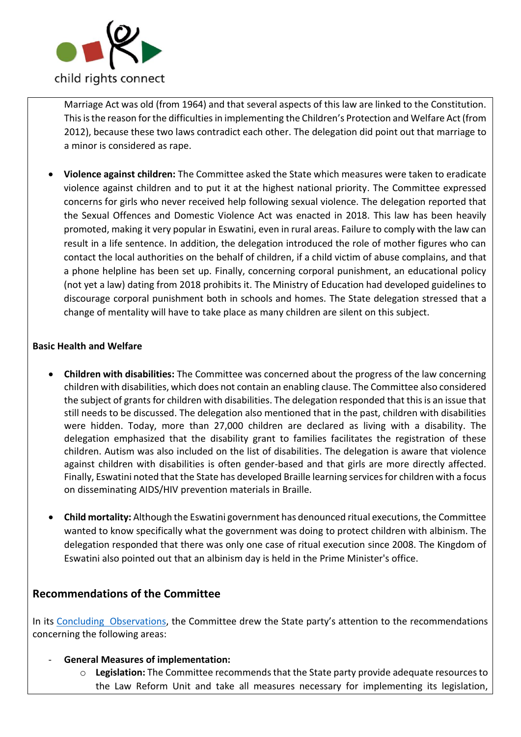

Marriage Act was old (from 1964) and that several aspects of this law are linked to the Constitution. This is the reason for the difficulties in implementing the Children's Protection and Welfare Act (from 2012), because these two laws contradict each other. The delegation did point out that marriage to a minor is considered as rape.

• **Violence against children:** The Committee asked the State which measures were taken to eradicate violence against children and to put it at the highest national priority. The Committee expressed concerns for girls who never received help following sexual violence. The delegation reported that the Sexual Offences and Domestic Violence Act was enacted in 2018. This law has been heavily promoted, making it very popular in Eswatini, even in rural areas. Failure to comply with the law can result in a life sentence. In addition, the delegation introduced the role of mother figures who can contact the local authorities on the behalf of children, if a child victim of abuse complains, and that a phone helpline has been set up. Finally, concerning corporal punishment, an educational policy (not yet a law) dating from 2018 prohibits it. The Ministry of Education had developed guidelines to discourage corporal punishment both in schools and homes. The State delegation stressed that a change of mentality will have to take place as many children are silent on this subject.

### **Basic Health and Welfare**

- **Children with disabilities:** The Committee was concerned about the progress of the law concerning children with disabilities, which does not contain an enabling clause. The Committee also considered the subject of grants for children with disabilities. The delegation responded that this is an issue that still needs to be discussed. The delegation also mentioned that in the past, children with disabilities were hidden. Today, more than 27,000 children are declared as living with a disability. The delegation emphasized that the disability grant to families facilitates the registration of these children. Autism was also included on the list of disabilities. The delegation is aware that violence against children with disabilities is often gender-based and that girls are more directly affected. Finally, Eswatini noted that the State has developed Braille learning services for children with a focus on disseminating AIDS/HIV prevention materials in Braille.
- **Child mortality:** Although the Eswatini government has denounced ritual executions, the Committee wanted to know specifically what the government was doing to protect children with albinism. The delegation responded that there was only one case of ritual execution since 2008. The Kingdom of Eswatini also pointed out that an albinism day is held in the Prime Minister's office.

# **Recommendations of the Committee**

In its [Concluding Observations,](https://tbinternet.ohchr.org/_layouts/15/treatybodyexternal/Download.aspx?symbolno=CRC%2fC%2fSWZ%2fCO%2f2-4&Lang=en) the Committee drew the State party's attention to the recommendations concerning the following areas:

- **General Measures of implementation:** 
	- o **Legislation:** The Committee recommends that the State party provide adequate resources to the Law Reform Unit and take all measures necessary for implementing its legislation,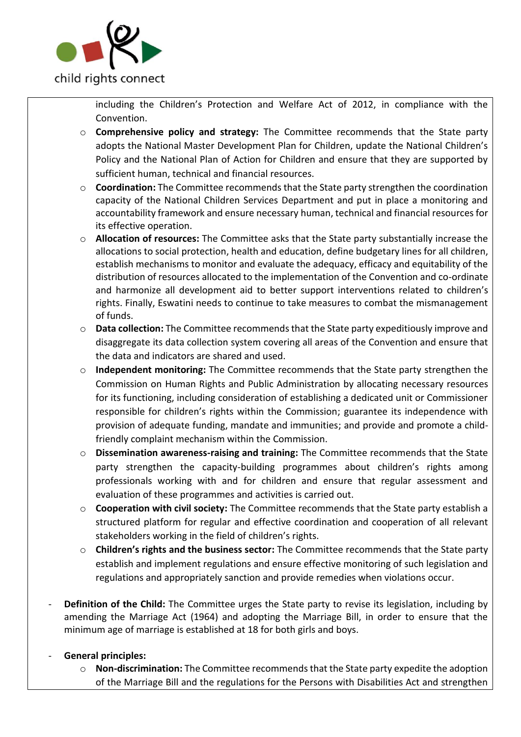

including the Children's Protection and Welfare Act of 2012, in compliance with the Convention.

- o **Comprehensive policy and strategy:** The Committee recommends that the State party adopts the National Master Development Plan for Children, update the National Children's Policy and the National Plan of Action for Children and ensure that they are supported by sufficient human, technical and financial resources.
- o **Coordination:** The Committee recommends that the State party strengthen the coordination capacity of the National Children Services Department and put in place a monitoring and accountability framework and ensure necessary human, technical and financial resources for its effective operation.
- o **Allocation of resources:** The Committee asks that the State party substantially increase the allocations to social protection, health and education, define budgetary lines for all children, establish mechanisms to monitor and evaluate the adequacy, efficacy and equitability of the distribution of resources allocated to the implementation of the Convention and co-ordinate and harmonize all development aid to better support interventions related to children's rights. Finally, Eswatini needs to continue to take measures to combat the mismanagement of funds.
- o **Data collection:** The Committee recommends that the State party expeditiously improve and disaggregate its data collection system covering all areas of the Convention and ensure that the data and indicators are shared and used.
- o **Independent monitoring:** The Committee recommends that the State party strengthen the Commission on Human Rights and Public Administration by allocating necessary resources for its functioning, including consideration of establishing a dedicated unit or Commissioner responsible for children's rights within the Commission; guarantee its independence with provision of adequate funding, mandate and immunities; and provide and promote a childfriendly complaint mechanism within the Commission.
- o **Dissemination awareness-raising and training:** The Committee recommends that the State party strengthen the capacity-building programmes about children's rights among professionals working with and for children and ensure that regular assessment and evaluation of these programmes and activities is carried out.
- o **Cooperation with civil society:** The Committee recommends that the State party establish a structured platform for regular and effective coordination and cooperation of all relevant stakeholders working in the field of children's rights.
- o **Children's rights and the business sector:** The Committee recommends that the State party establish and implement regulations and ensure effective monitoring of such legislation and regulations and appropriately sanction and provide remedies when violations occur.
- **Definition of the Child:** The Committee urges the State party to revise its legislation, including by amending the Marriage Act (1964) and adopting the Marriage Bill, in order to ensure that the minimum age of marriage is established at 18 for both girls and boys.
- **General principles:** 
	- o **Non-discrimination:** The Committee recommends that the State party expedite the adoption of the Marriage Bill and the regulations for the Persons with Disabilities Act and strengthen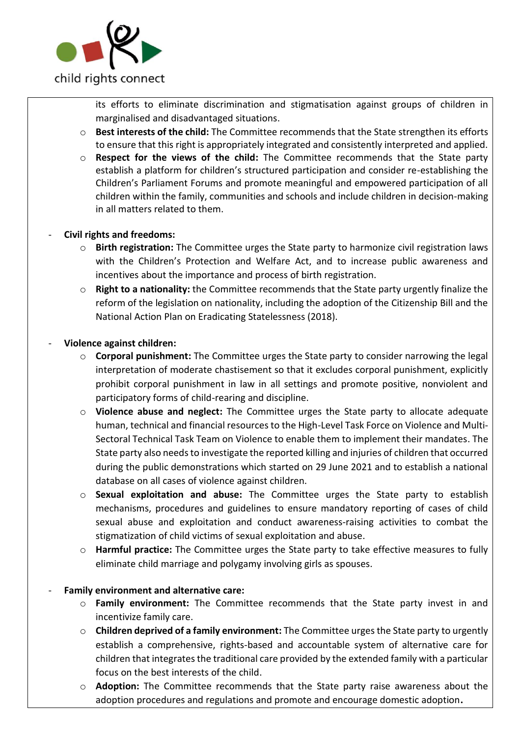

its efforts to eliminate discrimination and stigmatisation against groups of children in marginalised and disadvantaged situations.

- o **Best interests of the child:** The Committee recommends that the State strengthen its efforts to ensure that this right is appropriately integrated and consistently interpreted and applied.
- o **Respect for the views of the child:** The Committee recommends that the State party establish a platform for children's structured participation and consider re-establishing the Children's Parliament Forums and promote meaningful and empowered participation of all children within the family, communities and schools and include children in decision-making in all matters related to them.

### - **Civil rights and freedoms:**

- o **Birth registration:** The Committee urges the State party to harmonize civil registration laws with the Children's Protection and Welfare Act, and to increase public awareness and incentives about the importance and process of birth registration.
- o **Right to a nationality:** the Committee recommends that the State party urgently finalize the reform of the legislation on nationality, including the adoption of the Citizenship Bill and the National Action Plan on Eradicating Statelessness (2018).

### - **Violence against children:**

- o **Corporal punishment:** The Committee urges the State party to consider narrowing the legal interpretation of moderate chastisement so that it excludes corporal punishment, explicitly prohibit corporal punishment in law in all settings and promote positive, nonviolent and participatory forms of child-rearing and discipline.
- o **Violence abuse and neglect:** The Committee urges the State party to allocate adequate human, technical and financial resources to the High-Level Task Force on Violence and Multi-Sectoral Technical Task Team on Violence to enable them to implement their mandates. The State party also needs to investigate the reported killing and injuries of children that occurred during the public demonstrations which started on 29 June 2021 and to establish a national database on all cases of violence against children.
- o **Sexual exploitation and abuse:** The Committee urges the State party to establish mechanisms, procedures and guidelines to ensure mandatory reporting of cases of child sexual abuse and exploitation and conduct awareness-raising activities to combat the stigmatization of child victims of sexual exploitation and abuse.
- o **Harmful practice:** The Committee urges the State party to take effective measures to fully eliminate child marriage and polygamy involving girls as spouses.

# - **Family environment and alternative care:**

- o **Family environment:** The Committee recommends that the State party invest in and incentivize family care.
- o **Children deprived of a family environment:** The Committee urges the State party to urgently establish a comprehensive, rights-based and accountable system of alternative care for children that integrates the traditional care provided by the extended family with a particular focus on the best interests of the child.
- o **Adoption:** The Committee recommends that the State party raise awareness about the adoption procedures and regulations and promote and encourage domestic adoption**.**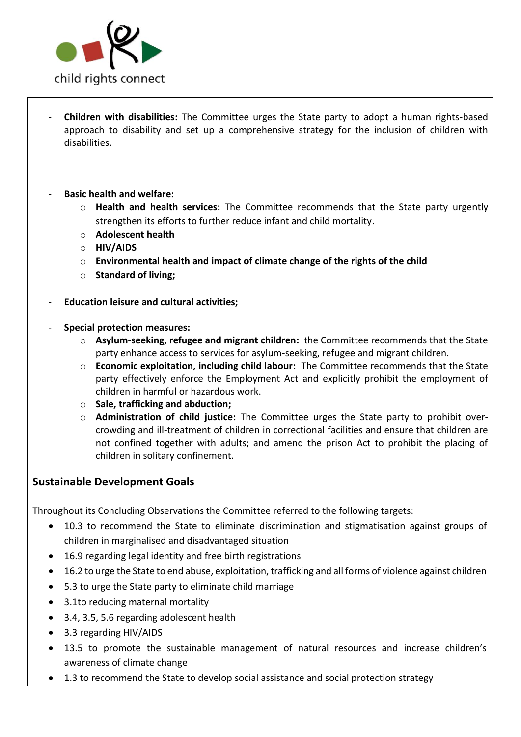

- **Children with disabilities:** The Committee urges the State party to adopt a human rights-based approach to disability and set up a comprehensive strategy for the inclusion of children with disabilities.
- **Basic health and welfare:** 
	- o **Health and health services:** The Committee recommends that the State party urgently strengthen its efforts to further reduce infant and child mortality.
	- o **Adolescent health**
	- o **HIV/AIDS**
	- o **Environmental health and impact of climate change of the rights of the child**
	- o **Standard of living;**
- **Education leisure and cultural activities;**
- **Special protection measures:** 
	- o **Asylum-seeking, refugee and migrant children:** the Committee recommends that the State party enhance access to services for asylum-seeking, refugee and migrant children.
	- o **Economic exploitation, including child labour:** The Committee recommends that the State party effectively enforce the Employment Act and explicitly prohibit the employment of children in harmful or hazardous work.
	- o **Sale, trafficking and abduction;**
	- o **Administration of child justice:** The Committee urges the State party to prohibit overcrowding and ill-treatment of children in correctional facilities and ensure that children are not confined together with adults; and amend the prison Act to prohibit the placing of children in solitary confinement.

# **Sustainable Development Goals**

Throughout its Concluding Observations the Committee referred to the following targets:

- 10.3 to recommend the State to eliminate discrimination and stigmatisation against groups of children in marginalised and disadvantaged situation
- 16.9 regarding legal identity and free birth registrations
- 16.2 to urge the State to end abuse, exploitation, trafficking and all forms of violence against children
- 5.3 to urge the State party to eliminate child marriage
- 3.1to reducing maternal mortality
- 3.4, 3.5, 5.6 regarding adolescent health
- 3.3 regarding HIV/AIDS
- 13.5 to promote the sustainable management of natural resources and increase children's awareness of climate change
- 1.3 to recommend the State to develop social assistance and social protection strategy